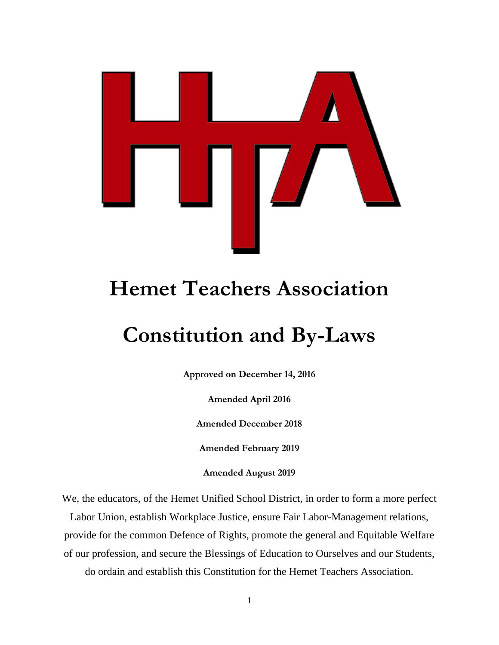

# **Hemet Teachers Association**

# **Constitution and By-Laws**

**Approved on December 14, 2016**

**Amended April 2016**

**Amended December 2018**

**Amended February 2019**

**Amended August 2019**

We, the educators, of the Hemet Unified School District, in order to form a more perfect Labor Union, establish Workplace Justice, ensure Fair Labor-Management relations,

provide for the common Defence of Rights, promote the general and Equitable Welfare

of our profession, and secure the Blessings of Education to Ourselves and our Students,

do ordain and establish this Constitution for the Hemet Teachers Association.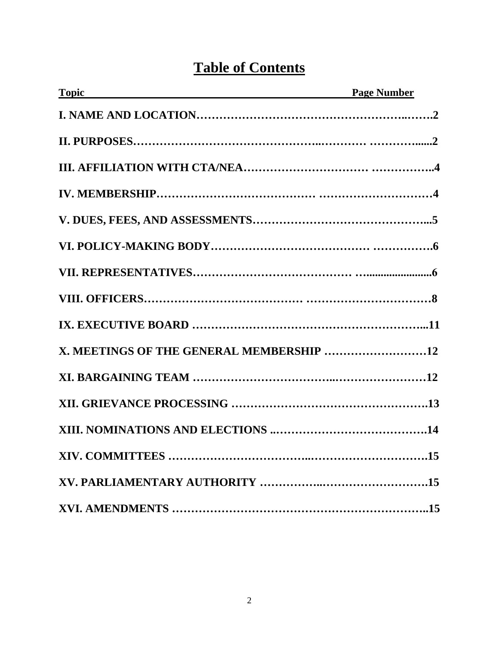# **Table of Contents**

| <b>Topic CONSTRAINING CONSTRAINING CONSTRAINING</b> | <b>Page Number</b> |
|-----------------------------------------------------|--------------------|
|                                                     |                    |
|                                                     |                    |
|                                                     |                    |
|                                                     |                    |
|                                                     |                    |
|                                                     |                    |
|                                                     |                    |
|                                                     |                    |
|                                                     |                    |
| X. MEETINGS OF THE GENERAL MEMBERSHIP 12            |                    |
|                                                     |                    |
|                                                     |                    |
|                                                     |                    |
|                                                     |                    |
|                                                     |                    |
|                                                     |                    |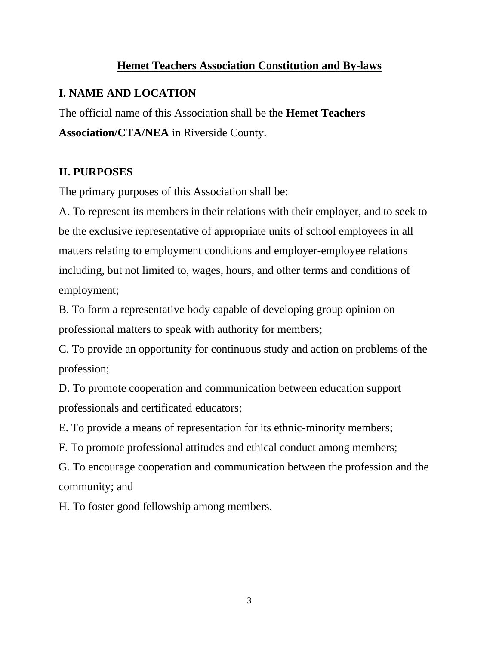#### **Hemet Teachers Association Constitution and By-laws**

## **I. NAME AND LOCATION**

The official name of this Association shall be the **Hemet Teachers Association/CTA/NEA** in Riverside County.

### **II. PURPOSES**

The primary purposes of this Association shall be:

A. To represent its members in their relations with their employer, and to seek to be the exclusive representative of appropriate units of school employees in all matters relating to employment conditions and employer-employee relations including, but not limited to, wages, hours, and other terms and conditions of employment;

B. To form a representative body capable of developing group opinion on professional matters to speak with authority for members;

C. To provide an opportunity for continuous study and action on problems of the profession;

D. To promote cooperation and communication between education support professionals and certificated educators;

E. To provide a means of representation for its ethnic-minority members;

F. To promote professional attitudes and ethical conduct among members;

G. To encourage cooperation and communication between the profession and the community; and

H. To foster good fellowship among members.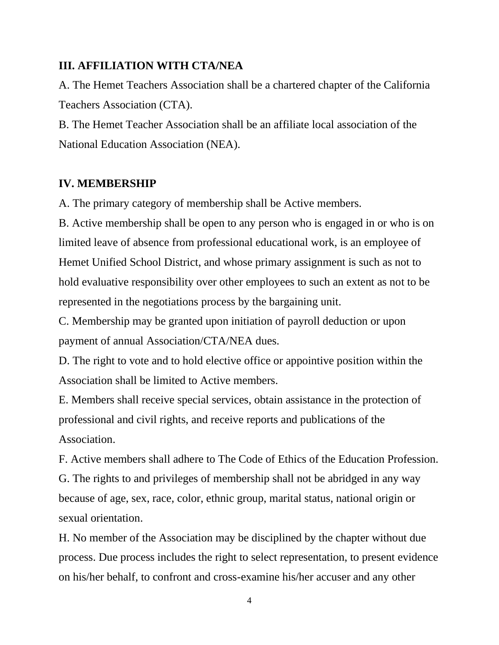#### **III. AFFILIATION WITH CTA/NEA**

A. The Hemet Teachers Association shall be a chartered chapter of the California Teachers Association (CTA).

B. The Hemet Teacher Association shall be an affiliate local association of the National Education Association (NEA).

#### **IV. MEMBERSHIP**

A. The primary category of membership shall be Active members.

B. Active membership shall be open to any person who is engaged in or who is on limited leave of absence from professional educational work, is an employee of Hemet Unified School District, and whose primary assignment is such as not to hold evaluative responsibility over other employees to such an extent as not to be represented in the negotiations process by the bargaining unit.

C. Membership may be granted upon initiation of payroll deduction or upon payment of annual Association/CTA/NEA dues.

D. The right to vote and to hold elective office or appointive position within the Association shall be limited to Active members.

E. Members shall receive special services, obtain assistance in the protection of professional and civil rights, and receive reports and publications of the Association.

F. Active members shall adhere to The Code of Ethics of the Education Profession. G. The rights to and privileges of membership shall not be abridged in any way because of age, sex, race, color, ethnic group, marital status, national origin or sexual orientation.

H. No member of the Association may be disciplined by the chapter without due process. Due process includes the right to select representation, to present evidence on his/her behalf, to confront and cross-examine his/her accuser and any other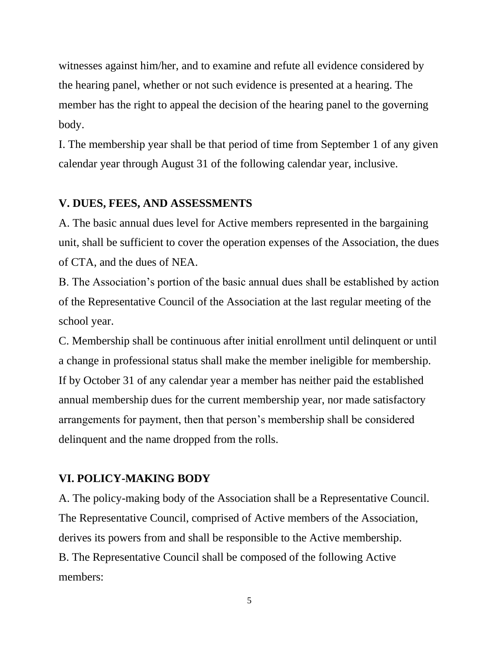witnesses against him/her, and to examine and refute all evidence considered by the hearing panel, whether or not such evidence is presented at a hearing. The member has the right to appeal the decision of the hearing panel to the governing body.

I. The membership year shall be that period of time from September 1 of any given calendar year through August 31 of the following calendar year, inclusive.

#### **V. DUES, FEES, AND ASSESSMENTS**

A. The basic annual dues level for Active members represented in the bargaining unit, shall be sufficient to cover the operation expenses of the Association, the dues of CTA, and the dues of NEA.

B. The Association's portion of the basic annual dues shall be established by action of the Representative Council of the Association at the last regular meeting of the school year.

C. Membership shall be continuous after initial enrollment until delinquent or until a change in professional status shall make the member ineligible for membership. If by October 31 of any calendar year a member has neither paid the established annual membership dues for the current membership year, nor made satisfactory arrangements for payment, then that person's membership shall be considered delinquent and the name dropped from the rolls.

#### **VI. POLICY-MAKING BODY**

A. The policy-making body of the Association shall be a Representative Council. The Representative Council, comprised of Active members of the Association, derives its powers from and shall be responsible to the Active membership. B. The Representative Council shall be composed of the following Active members: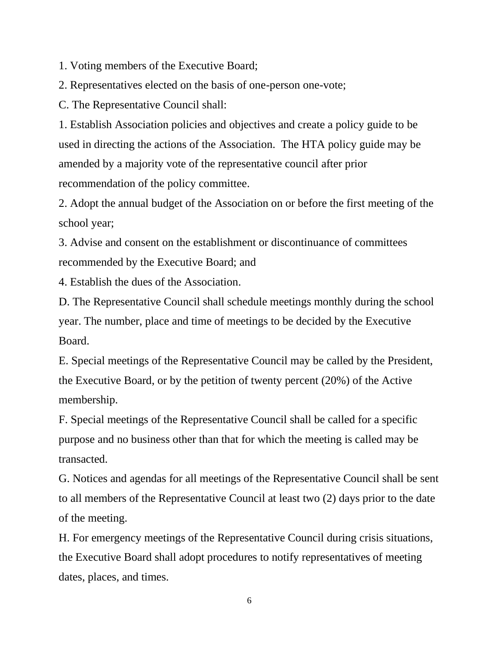1. Voting members of the Executive Board;

2. Representatives elected on the basis of one-person one-vote;

C. The Representative Council shall:

1. Establish Association policies and objectives and create a policy guide to be used in directing the actions of the Association. The HTA policy guide may be amended by a majority vote of the representative council after prior recommendation of the policy committee.

2. Adopt the annual budget of the Association on or before the first meeting of the school year;

3. Advise and consent on the establishment or discontinuance of committees recommended by the Executive Board; and

4. Establish the dues of the Association.

D. The Representative Council shall schedule meetings monthly during the school year. The number, place and time of meetings to be decided by the Executive Board.

E. Special meetings of the Representative Council may be called by the President, the Executive Board, or by the petition of twenty percent (20%) of the Active membership.

F. Special meetings of the Representative Council shall be called for a specific purpose and no business other than that for which the meeting is called may be transacted.

G. Notices and agendas for all meetings of the Representative Council shall be sent to all members of the Representative Council at least two (2) days prior to the date of the meeting.

H. For emergency meetings of the Representative Council during crisis situations, the Executive Board shall adopt procedures to notify representatives of meeting dates, places, and times.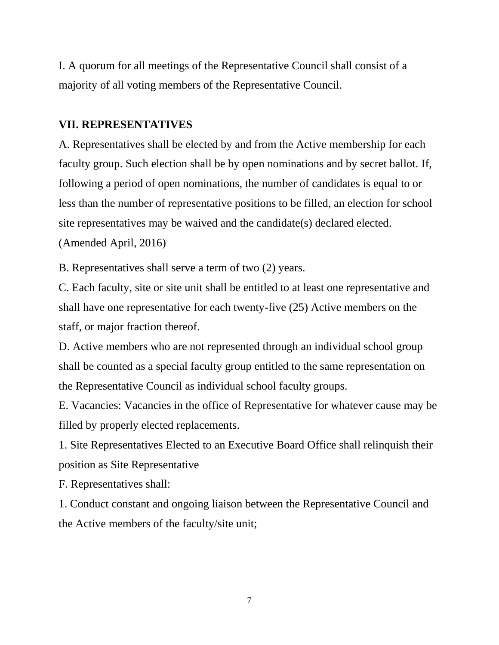I. A quorum for all meetings of the Representative Council shall consist of a majority of all voting members of the Representative Council.

#### **VII. REPRESENTATIVES**

A. Representatives shall be elected by and from the Active membership for each faculty group. Such election shall be by open nominations and by secret ballot. If, following a period of open nominations, the number of candidates is equal to or less than the number of representative positions to be filled, an election for school site representatives may be waived and the candidate(s) declared elected. (Amended April, 2016)

B. Representatives shall serve a term of two (2) years.

C. Each faculty, site or site unit shall be entitled to at least one representative and shall have one representative for each twenty-five (25) Active members on the staff, or major fraction thereof.

D. Active members who are not represented through an individual school group shall be counted as a special faculty group entitled to the same representation on the Representative Council as individual school faculty groups.

E. Vacancies: Vacancies in the office of Representative for whatever cause may be filled by properly elected replacements.

1. Site Representatives Elected to an Executive Board Office shall relinquish their position as Site Representative

F. Representatives shall:

1. Conduct constant and ongoing liaison between the Representative Council and the Active members of the faculty/site unit;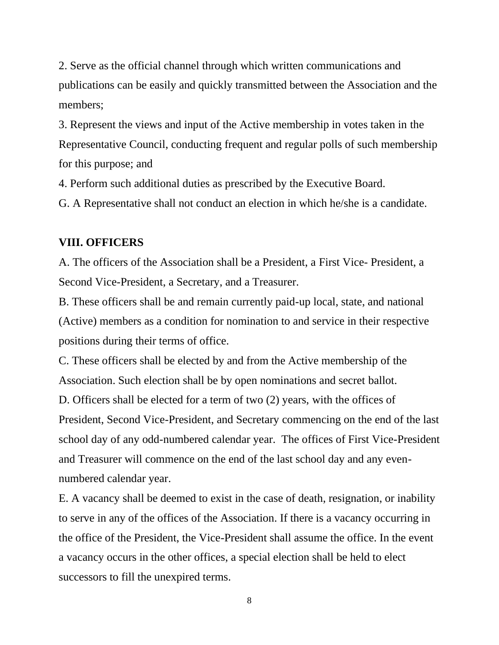2. Serve as the official channel through which written communications and publications can be easily and quickly transmitted between the Association and the members;

3. Represent the views and input of the Active membership in votes taken in the Representative Council, conducting frequent and regular polls of such membership for this purpose; and

4. Perform such additional duties as prescribed by the Executive Board.

G. A Representative shall not conduct an election in which he/she is a candidate.

#### **VIII. OFFICERS**

A. The officers of the Association shall be a President, a First Vice- President, a Second Vice-President, a Secretary, and a Treasurer.

B. These officers shall be and remain currently paid-up local, state, and national (Active) members as a condition for nomination to and service in their respective positions during their terms of office.

C. These officers shall be elected by and from the Active membership of the Association. Such election shall be by open nominations and secret ballot. D. Officers shall be elected for a term of two (2) years, with the offices of President, Second Vice-President, and Secretary commencing on the end of the last school day of any odd-numbered calendar year. The offices of First Vice-President and Treasurer will commence on the end of the last school day and any evennumbered calendar year.

E. A vacancy shall be deemed to exist in the case of death, resignation, or inability to serve in any of the offices of the Association. If there is a vacancy occurring in the office of the President, the Vice-President shall assume the office. In the event a vacancy occurs in the other offices, a special election shall be held to elect successors to fill the unexpired terms.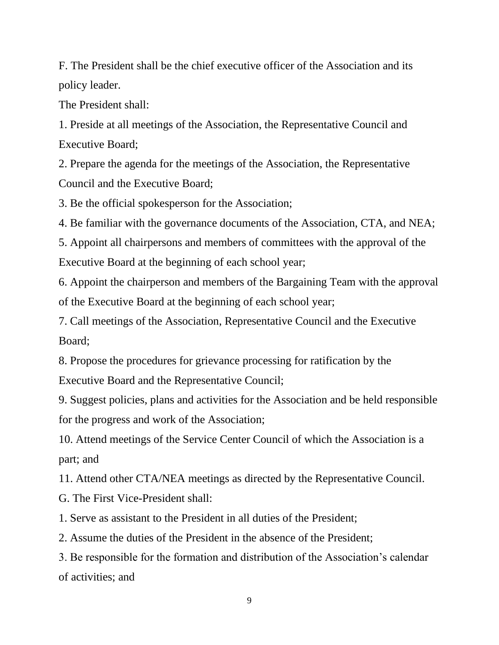F. The President shall be the chief executive officer of the Association and its policy leader.

The President shall:

1. Preside at all meetings of the Association, the Representative Council and Executive Board;

2. Prepare the agenda for the meetings of the Association, the Representative Council and the Executive Board;

3. Be the official spokesperson for the Association;

4. Be familiar with the governance documents of the Association, CTA, and NEA;

5. Appoint all chairpersons and members of committees with the approval of the Executive Board at the beginning of each school year;

6. Appoint the chairperson and members of the Bargaining Team with the approval of the Executive Board at the beginning of each school year;

7. Call meetings of the Association, Representative Council and the Executive Board;

8. Propose the procedures for grievance processing for ratification by the Executive Board and the Representative Council;

9. Suggest policies, plans and activities for the Association and be held responsible for the progress and work of the Association;

10. Attend meetings of the Service Center Council of which the Association is a part; and

11. Attend other CTA/NEA meetings as directed by the Representative Council.

G. The First Vice-President shall:

1. Serve as assistant to the President in all duties of the President;

2. Assume the duties of the President in the absence of the President;

3. Be responsible for the formation and distribution of the Association's calendar of activities; and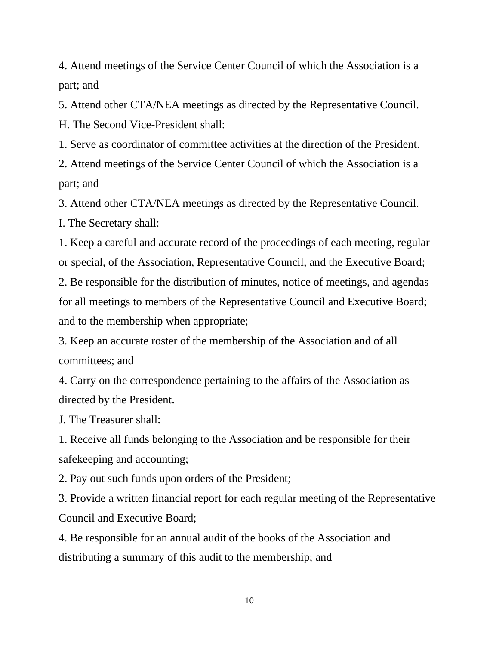4. Attend meetings of the Service Center Council of which the Association is a part; and

5. Attend other CTA/NEA meetings as directed by the Representative Council. H. The Second Vice-President shall:

1. Serve as coordinator of committee activities at the direction of the President.

2. Attend meetings of the Service Center Council of which the Association is a part; and

3. Attend other CTA/NEA meetings as directed by the Representative Council.

I. The Secretary shall:

1. Keep a careful and accurate record of the proceedings of each meeting, regular or special, of the Association, Representative Council, and the Executive Board;

2. Be responsible for the distribution of minutes, notice of meetings, and agendas for all meetings to members of the Representative Council and Executive Board; and to the membership when appropriate;

3. Keep an accurate roster of the membership of the Association and of all committees; and

4. Carry on the correspondence pertaining to the affairs of the Association as directed by the President.

J. The Treasurer shall:

1. Receive all funds belonging to the Association and be responsible for their safekeeping and accounting;

2. Pay out such funds upon orders of the President;

3. Provide a written financial report for each regular meeting of the Representative Council and Executive Board;

4. Be responsible for an annual audit of the books of the Association and distributing a summary of this audit to the membership; and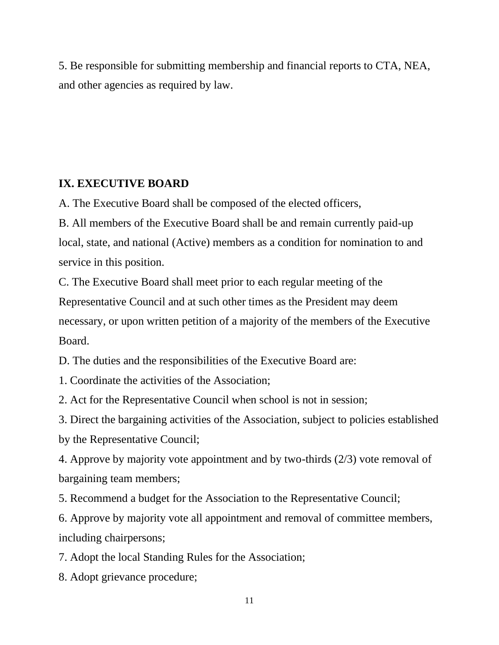5. Be responsible for submitting membership and financial reports to CTA, NEA, and other agencies as required by law.

# **IX. EXECUTIVE BOARD**

A. The Executive Board shall be composed of the elected officers,

B. All members of the Executive Board shall be and remain currently paid-up local, state, and national (Active) members as a condition for nomination to and service in this position.

C. The Executive Board shall meet prior to each regular meeting of the Representative Council and at such other times as the President may deem necessary, or upon written petition of a majority of the members of the Executive Board.

D. The duties and the responsibilities of the Executive Board are:

1. Coordinate the activities of the Association;

2. Act for the Representative Council when school is not in session;

3. Direct the bargaining activities of the Association, subject to policies established by the Representative Council;

4. Approve by majority vote appointment and by two-thirds (2/3) vote removal of bargaining team members;

5. Recommend a budget for the Association to the Representative Council;

6. Approve by majority vote all appointment and removal of committee members, including chairpersons;

7. Adopt the local Standing Rules for the Association;

8. Adopt grievance procedure;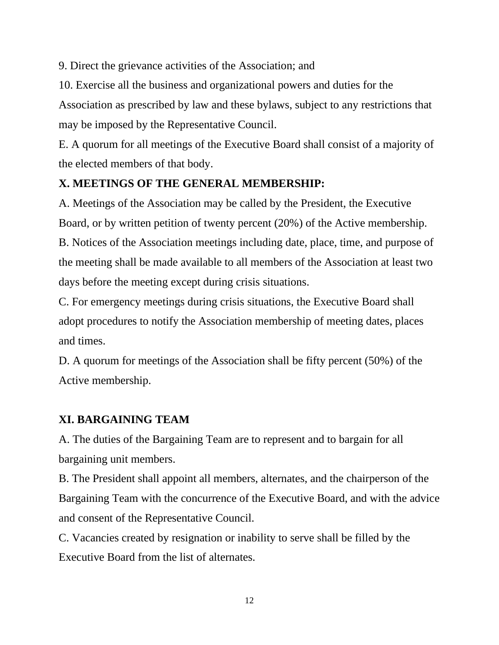9. Direct the grievance activities of the Association; and

10. Exercise all the business and organizational powers and duties for the Association as prescribed by law and these bylaws, subject to any restrictions that may be imposed by the Representative Council.

E. A quorum for all meetings of the Executive Board shall consist of a majority of the elected members of that body.

### **X. MEETINGS OF THE GENERAL MEMBERSHIP:**

A. Meetings of the Association may be called by the President, the Executive Board, or by written petition of twenty percent (20%) of the Active membership. B. Notices of the Association meetings including date, place, time, and purpose of the meeting shall be made available to all members of the Association at least two days before the meeting except during crisis situations.

C. For emergency meetings during crisis situations, the Executive Board shall adopt procedures to notify the Association membership of meeting dates, places and times.

D. A quorum for meetings of the Association shall be fifty percent (50%) of the Active membership.

# **XI. BARGAINING TEAM**

A. The duties of the Bargaining Team are to represent and to bargain for all bargaining unit members.

B. The President shall appoint all members, alternates, and the chairperson of the Bargaining Team with the concurrence of the Executive Board, and with the advice and consent of the Representative Council.

C. Vacancies created by resignation or inability to serve shall be filled by the Executive Board from the list of alternates.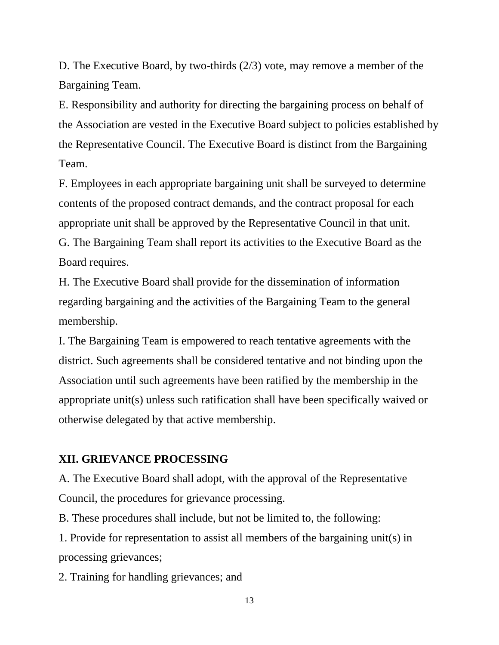D. The Executive Board, by two-thirds (2/3) vote, may remove a member of the Bargaining Team.

E. Responsibility and authority for directing the bargaining process on behalf of the Association are vested in the Executive Board subject to policies established by the Representative Council. The Executive Board is distinct from the Bargaining Team.

F. Employees in each appropriate bargaining unit shall be surveyed to determine contents of the proposed contract demands, and the contract proposal for each appropriate unit shall be approved by the Representative Council in that unit. G. The Bargaining Team shall report its activities to the Executive Board as the Board requires.

H. The Executive Board shall provide for the dissemination of information regarding bargaining and the activities of the Bargaining Team to the general membership.

I. The Bargaining Team is empowered to reach tentative agreements with the district. Such agreements shall be considered tentative and not binding upon the Association until such agreements have been ratified by the membership in the appropriate unit(s) unless such ratification shall have been specifically waived or otherwise delegated by that active membership.

#### **XII. GRIEVANCE PROCESSING**

A. The Executive Board shall adopt, with the approval of the Representative Council, the procedures for grievance processing.

B. These procedures shall include, but not be limited to, the following:

1. Provide for representation to assist all members of the bargaining unit(s) in processing grievances;

2. Training for handling grievances; and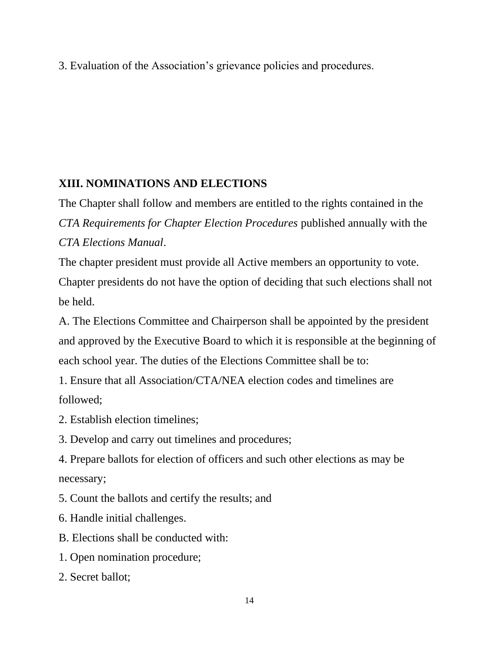3. Evaluation of the Association's grievance policies and procedures.

# **XIII. NOMINATIONS AND ELECTIONS**

The Chapter shall follow and members are entitled to the rights contained in the *CTA Requirements for Chapter Election Procedures* published annually with the *CTA Elections Manual*.

The chapter president must provide all Active members an opportunity to vote. Chapter presidents do not have the option of deciding that such elections shall not be held.

A. The Elections Committee and Chairperson shall be appointed by the president and approved by the Executive Board to which it is responsible at the beginning of each school year. The duties of the Elections Committee shall be to:

1. Ensure that all Association/CTA/NEA election codes and timelines are followed;

- 2. Establish election timelines;
- 3. Develop and carry out timelines and procedures;

4. Prepare ballots for election of officers and such other elections as may be necessary;

5. Count the ballots and certify the results; and

- 6. Handle initial challenges.
- B. Elections shall be conducted with:
- 1. Open nomination procedure;
- 2. Secret ballot;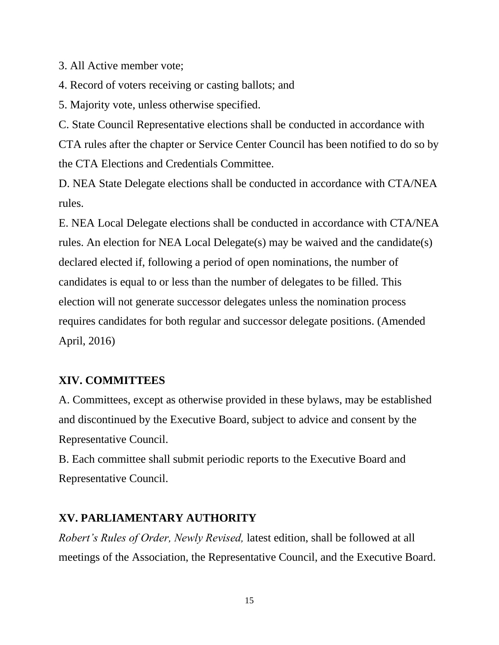3. All Active member vote;

4. Record of voters receiving or casting ballots; and

5. Majority vote, unless otherwise specified.

C. State Council Representative elections shall be conducted in accordance with CTA rules after the chapter or Service Center Council has been notified to do so by the CTA Elections and Credentials Committee.

D. NEA State Delegate elections shall be conducted in accordance with CTA/NEA rules.

E. NEA Local Delegate elections shall be conducted in accordance with CTA/NEA rules. An election for NEA Local Delegate(s) may be waived and the candidate(s) declared elected if, following a period of open nominations, the number of candidates is equal to or less than the number of delegates to be filled. This election will not generate successor delegates unless the nomination process requires candidates for both regular and successor delegate positions. (Amended April, 2016)

#### **XIV. COMMITTEES**

A. Committees, except as otherwise provided in these bylaws, may be established and discontinued by the Executive Board, subject to advice and consent by the Representative Council.

B. Each committee shall submit periodic reports to the Executive Board and Representative Council.

#### **XV. PARLIAMENTARY AUTHORITY**

*Robert's Rules of Order, Newly Revised,* latest edition, shall be followed at all meetings of the Association, the Representative Council, and the Executive Board.